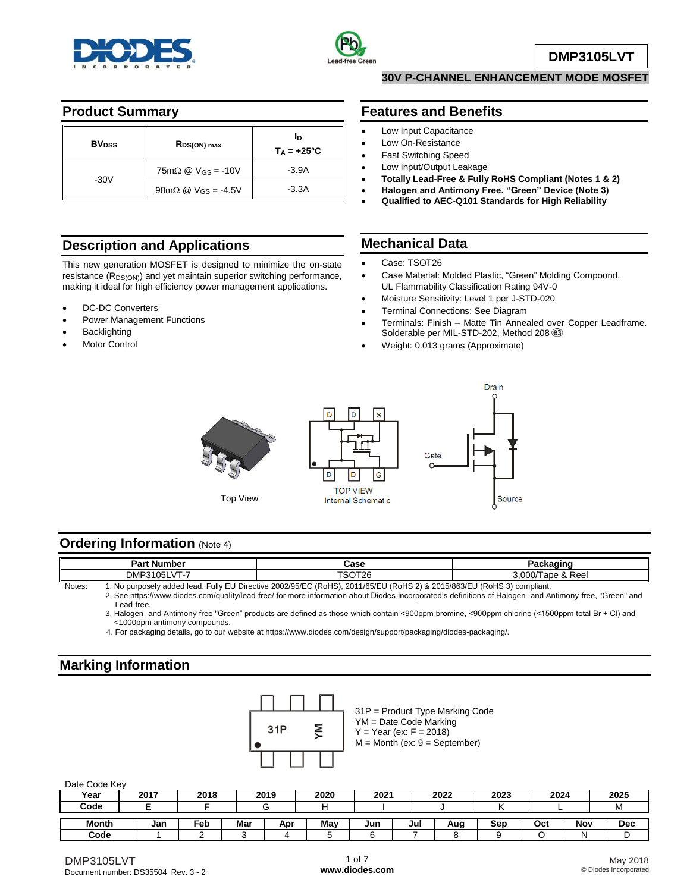



**DMP3105LVT**

## **Product Summary**

| <b>BV</b> <sub>pss</sub> | $R_{DS(ON) max}$                                                    | In<br>$T_A = +25^{\circ}C$ |
|--------------------------|---------------------------------------------------------------------|----------------------------|
| $-30V$                   | $75 \text{m}\Omega \text{ } \textcircled{2}$ V <sub>GS</sub> = -10V | $-3.9A$                    |
|                          | $98 \text{m}\Omega \text{ } @ \text{V}_{\text{GS}} = -4.5 \text{V}$ | $-3.3A$                    |

## **Description and Applications**

This new generation MOSFET is designed to minimize the on-state resistance  $(R_{DS(ON)})$  and yet maintain superior switching performance, making it ideal for high efficiency power management applications.

- DC-DC Converters
- Power Management Functions
- **Backlighting**
- Motor Control

# **30V P-CHANNEL ENHANCEMENT MODE MOSFET**

### **Features and Benefits**

- Low Input Capacitance
- Low On-Resistance
- Fast Switching Speed
- Low Input/Output Leakage
- **Totally Lead-Free & Fully RoHS Compliant (Notes 1 & 2)**
- **Halogen and Antimony Free. "Green" Device (Note 3)**
- **Qualified to AEC-Q101 Standards for High Reliability**

## **Mechanical Data**

- Case: TSOT26
- Case Material: Molded Plastic, "Green" Molding Compound. UL Flammability Classification Rating 94V-0
- Moisture Sensitivity: Level 1 per J-STD-020
- Terminal Connections: See Diagram
- Terminals: Finish Matte Tin Annealed over Copper Leadframe. Solderable per MIL-STD-202, Method 208  $@3$
- Weight: 0.013 grams (Approximate)



Top View



### **Ordering Information (Note 4)**

| Part<br>. Number                                                                                                                          | Case   | $\sim$ $\sim$ $\sim$ $\sim$ |  |  |  |  |
|-------------------------------------------------------------------------------------------------------------------------------------------|--------|-----------------------------|--|--|--|--|
| DMP3105L<br>$V -$                                                                                                                         | `ວ∪⊺∠ເ | ९ Ree।<br>3.000/T<br>⊺ape & |  |  |  |  |
| No account of the district of the FU District COOO/OF/FO (D-UO), CO44/OF/FU (D-UO O) & CO4F/OCO/FU (D-UO O) specification<br>$N1 - 4 - -$ |        |                             |  |  |  |  |

Notes: 1. No purposely added lead. Fully EU Directive 2002/95/EC (RoHS), 2011/65/EU (RoHS 2) & 2015/863/EU (RoHS 3) compliant. 2. See https://www.diodes.com/quality/lead-free/ for more information about Diodes Incorporated's definitions of Halogen- and Antimony-free, "Green" and Lead-free.

3. Halogen- and Antimony-free "Green" products are defined as those which contain <900ppm bromine, <900ppm chlorine (<1500ppm total Br + Cl) and <1000ppm antimony compounds.

4. For packaging details, go to our website at https://www.diodes.com/design/support/packaging/diodes-packaging/.

## **Marking Information**



Date Code Key

| <b>DUID OUGO INDY</b> |      |      |     |      |      |      |     |      |      |      |            |      |
|-----------------------|------|------|-----|------|------|------|-----|------|------|------|------------|------|
| Year                  | 2017 | 2018 |     | 2019 | 2020 | 2021 |     | 2022 | 2023 | 2024 |            | 2025 |
| Code                  |      |      |     |      |      |      |     |      |      |      |            | IV   |
|                       |      |      |     |      |      |      |     |      |      |      |            |      |
| Month                 | Jan  | Feb  | Mar | Apr  | May  | Jun  | Jul | Aug  | Sep  | Oct  | <b>Nov</b> | Dec  |
| Code                  |      |      |     |      |      |      |     |      |      |      | N          | ◡    |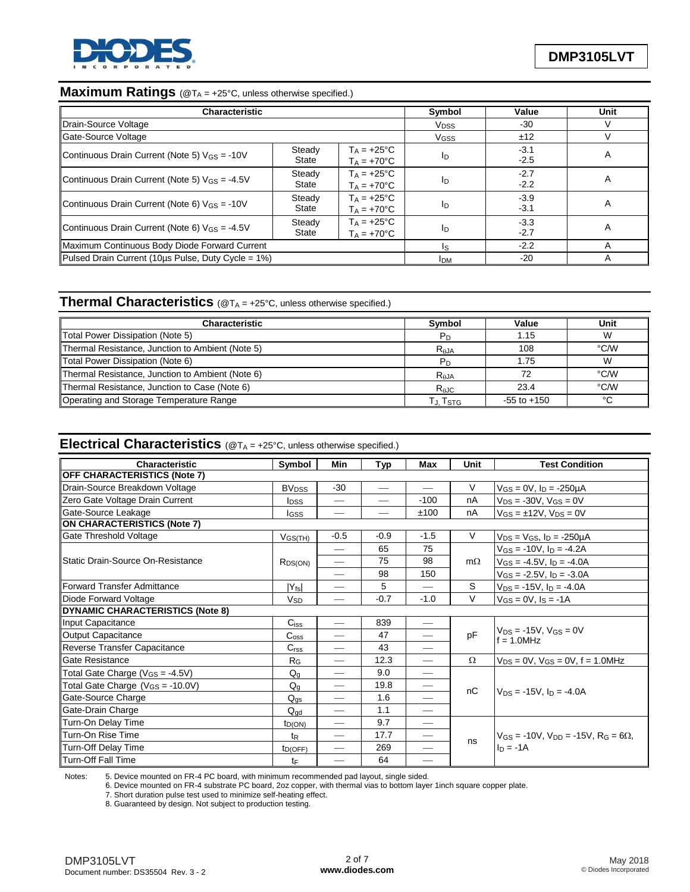

# **Maximum Ratings** (@TA = +25°C, unless otherwise specified.)

| <b>Characteristic</b>                              | Symbol                 | Value                                        | <b>Unit</b> |                  |   |
|----------------------------------------------------|------------------------|----------------------------------------------|-------------|------------------|---|
| Drain-Source Voltage                               | <b>V<sub>DSS</sub></b> | -30                                          |             |                  |   |
| Gate-Source Voltage                                |                        |                                              | VGSS        | ±12              |   |
| Continuous Drain Current (Note 5) $V_{GS} = -10V$  | Steady<br>State        | $T_A = +25^{\circ}C$<br>$T_A = +70^{\circ}C$ | ID          | $-3.1$<br>$-2.5$ | A |
| Continuous Drain Current (Note 5) $V_{GS} = -4.5V$ | Steady<br>State        | $T_A = +25^{\circ}C$<br>$T_A = +70^{\circ}C$ | ID          | $-2.7$<br>$-2.2$ | A |
| Continuous Drain Current (Note 6) $V_{GS} = -10V$  | Steady<br>State        | $T_A = +25^{\circ}C$<br>$T_A = +70^{\circ}C$ | ID          | $-3.9$<br>$-3.1$ | A |
| Continuous Drain Current (Note 6) $V_{GS} = -4.5V$ | ID                     | $-3.3$<br>$-2.7$                             | A           |                  |   |
| Maximum Continuous Body Diode Forward Current      | Is                     | $-2.2$                                       |             |                  |   |
| Pulsed Drain Current (10us Pulse, Duty Cycle = 1%) | <b>IDM</b>             | $-20$                                        |             |                  |   |

## **Thermal Characteristics** (@T<sub>A</sub> = +25°C, unless otherwise specified.)

| <b>Characteristic</b>                            | Symbol         | Value           | Unit   |
|--------------------------------------------------|----------------|-----------------|--------|
| Total Power Dissipation (Note 5)                 | $P_D$          | 1.15            | W      |
| Thermal Resistance, Junction to Ambient (Note 5) | $R_{AJA}$      | 108             | °C/W   |
| Total Power Dissipation (Note 6)                 | P <sub>D</sub> | 1.75            | W      |
| Thermal Resistance, Junction to Ambient (Note 6) | $R_{AJA}$      | 72              | °C/W   |
| Thermal Resistance, Junction to Case (Note 6)    | $R_{AJC}$      | 23.4            | °C/W   |
| Operating and Storage Temperature Range          | T.J. Tsтg      | $-55$ to $+150$ | $\sim$ |

## **Electrical Characteristics** (@T<sub>A</sub> = +25°C, unless otherwise specified.)

| Characteristic                              | Symbol                  | Min                           | Typ    | Max                      | Unit      | <b>Test Condition</b>                                 |  |  |
|---------------------------------------------|-------------------------|-------------------------------|--------|--------------------------|-----------|-------------------------------------------------------|--|--|
| OFF CHARACTERISTICS (Note 7)                |                         |                               |        |                          |           |                                                       |  |  |
| Drain-Source Breakdown Voltage              | <b>BV<sub>DSS</sub></b> | $-30$                         |        |                          | V         | $V_{GS} = 0V$ , $I_D = -250\mu A$                     |  |  |
| Zero Gate Voltage Drain Current             | <b>I</b> <sub>DSS</sub> |                               |        | $-100$                   | nA        | $V_{DS} = -30V$ , $V_{GS} = 0V$                       |  |  |
| Gate-Source Leakage                         | <b>I</b> GSS            | $\overbrace{\phantom{13333}}$ |        | ±100                     | nA        | $V_{GS} = \pm 12V$ , $V_{DS} = 0V$                    |  |  |
| <b>ON CHARACTERISTICS (Note 7)</b>          |                         |                               |        |                          |           |                                                       |  |  |
| Gate Threshold Voltage                      | $V$ GS(TH)              | $-0.5$                        | $-0.9$ | $-1.5$                   | V         | $V_{DS} = V_{GS}$ , $I_D = -250 \mu A$                |  |  |
|                                             |                         |                               | 65     | 75                       |           | $V_{GS} = -10V$ , $I_D = -4.2A$                       |  |  |
| Static Drain-Source On-Resistance           | $R_{DS(ON)}$            |                               | 75     | 98                       | $m\Omega$ | $V_{GS} = -4.5V$ , $I_D = -4.0A$                      |  |  |
|                                             |                         |                               | 98     | 150                      |           | $V_{GS} = -2.5V$ , $I_D = -3.0A$                      |  |  |
| Forward Transfer Admittance                 | $ Y_{fs} $              |                               | 5      |                          | S         | $V_{DS} = -15V$ , $I_D = -4.0A$                       |  |  |
| Diode Forward Voltage                       | V <sub>SD</sub>         |                               | $-0.7$ | $-1.0$                   | $\vee$    | $V_{GS} = 0V$ , $I_S = -1A$                           |  |  |
| <b>DYNAMIC CHARACTERISTICS (Note 8)</b>     |                         |                               |        |                          |           |                                                       |  |  |
| Input Capacitance                           | $C$ <sub>iss</sub>      | $\overline{\phantom{m}}$      | 839    |                          |           | $V_{DS}$ = -15V, $V_{GS}$ = 0V<br>$f = 1.0$ MHz       |  |  |
| <b>Output Capacitance</b>                   | $C_{\rm oss}$           |                               | 47     |                          | pF        |                                                       |  |  |
| Reverse Transfer Capacitance                | C <sub>rss</sub>        | $\overline{\phantom{0}}$      | 43     |                          |           |                                                       |  |  |
| Gate Resistance                             | $R_G$                   | $\overline{\phantom{m}}$      | 12.3   | $\overline{\phantom{m}}$ | $\Omega$  | $V_{DS} = 0V$ , $V_{GS} = 0V$ , $f = 1.0 MHz$         |  |  |
| Total Gate Charge (V <sub>GS</sub> = -4.5V) | $Q_q$                   | $\overline{\phantom{0}}$      | 9.0    | $\overline{\phantom{0}}$ |           |                                                       |  |  |
| Total Gate Charge $(V_{GS} = -10.0V)$       | $Q_{q}$                 |                               | 19.8   |                          | nC        |                                                       |  |  |
| Gate-Source Charge                          | $Q_{gs}$                |                               | 1.6    |                          |           | $V_{DS}$ = -15V, $I_D$ = -4.0A                        |  |  |
| Gate-Drain Charge                           | $Q_{\text{qd}}$         |                               | 1.1    |                          |           |                                                       |  |  |
| Turn-On Delay Time                          | $t_{D(ON)}$             |                               | 9.7    |                          |           |                                                       |  |  |
| Turn-On Rise Time                           | t <sub>R</sub>          | $\overline{\phantom{m}}$      | 17.7   |                          |           | $V_{GS} = -10V$ . $V_{DD} = -15V$ . $R_G = 6\Omega$ . |  |  |
| Turn-Off Delay Time                         | $t_{D(OFF)}$            |                               | 269    |                          | ns        | $In = -1A$                                            |  |  |
| <b>Turn-Off Fall Time</b>                   | tF                      | $\overline{\phantom{0}}$      | 64     |                          |           |                                                       |  |  |

Notes: 5. Device mounted on FR-4 PC board, with minimum recommended pad layout, single sided.

6. Device mounted on FR-4 substrate PC board, 2oz copper, with thermal vias to bottom layer 1inch square copper plate.

7. Short duration pulse test used to minimize self-heating effect.

8. Guaranteed by design. Not subject to production testing.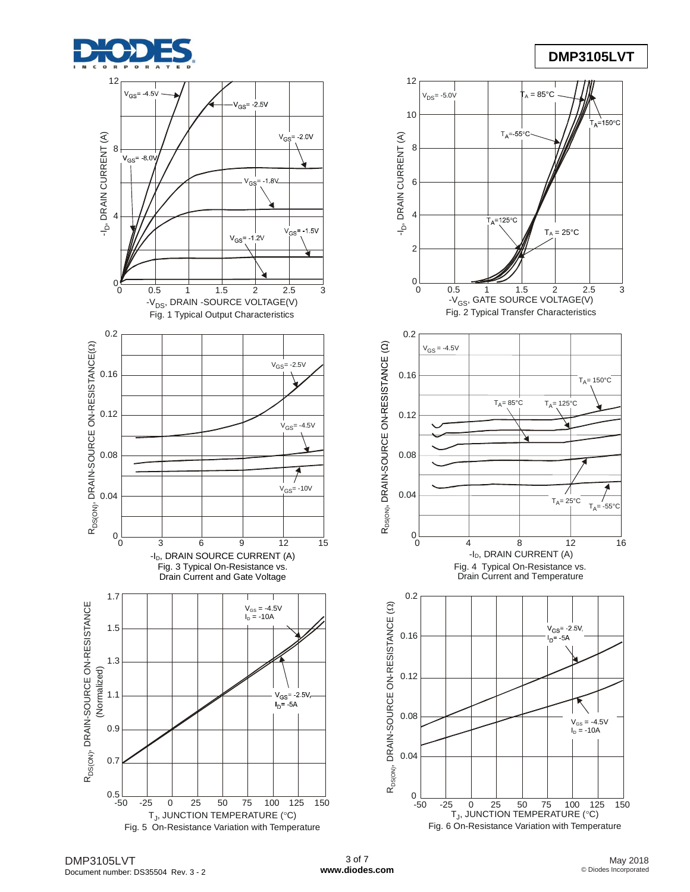

## **DMP3105LVT**

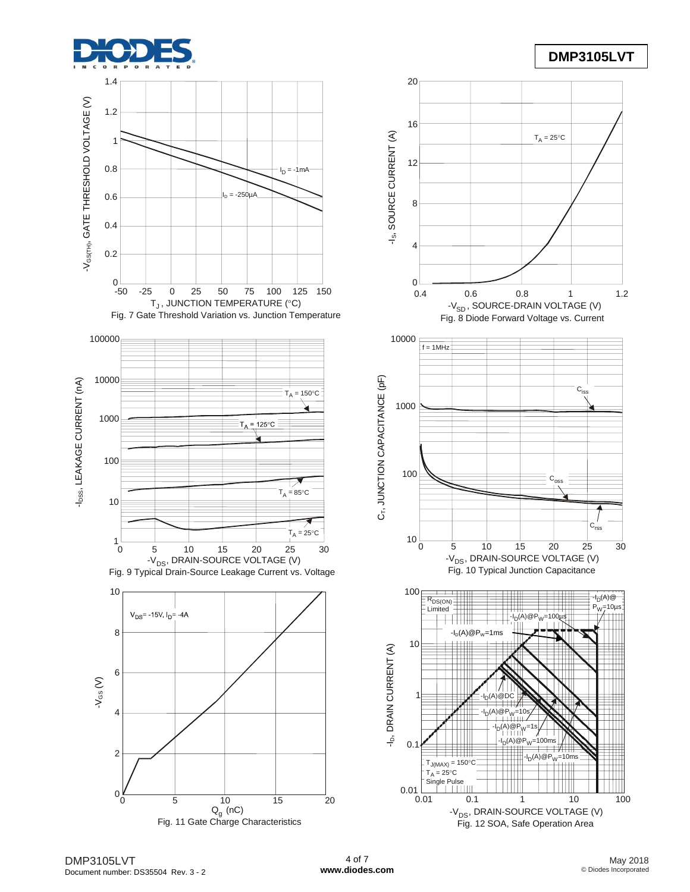

## **DMP3105LVT**





DMP3105LVT Document number: DS35504 Rev. 3 - 2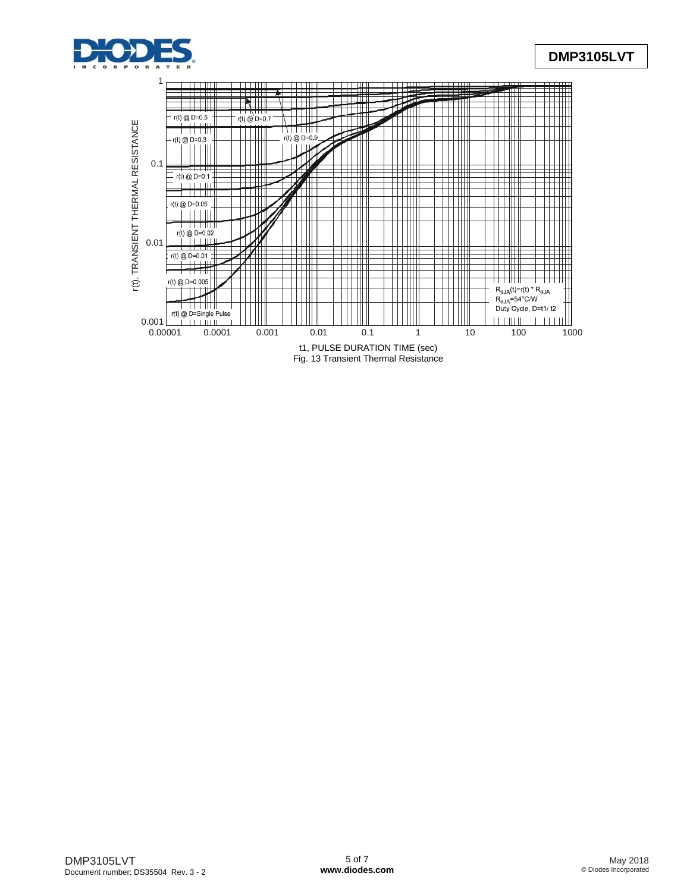

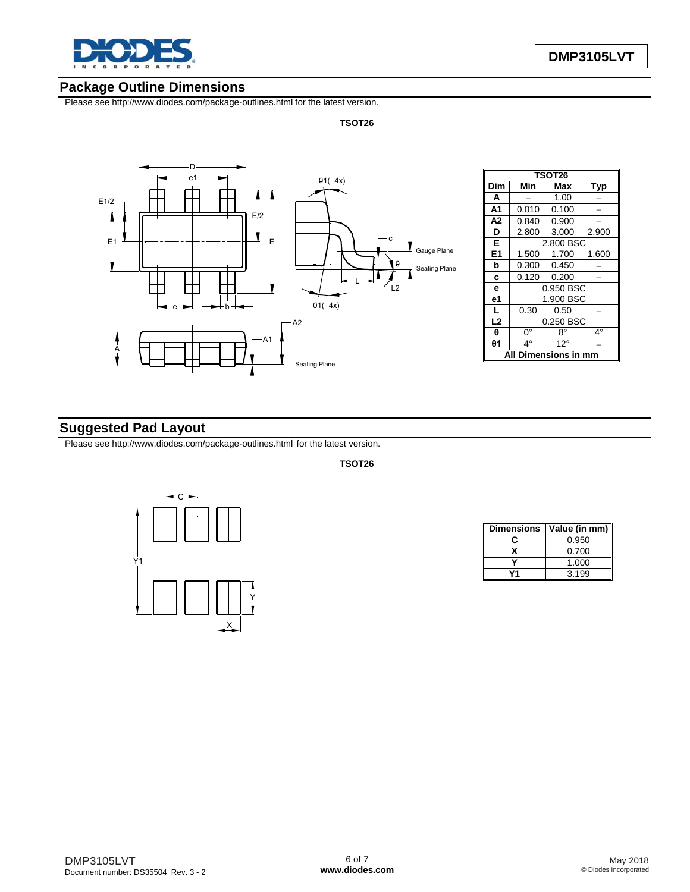

### **Package Outline Dimensions**

Please see http://www.diodes.com/package-outlines.html for the latest version.

**TSOT26**



| <b>TSOT26</b>        |                    |       |             |  |  |  |  |  |
|----------------------|--------------------|-------|-------------|--|--|--|--|--|
|                      |                    |       |             |  |  |  |  |  |
| Dim                  | Min                | Max   | <b>Typ</b>  |  |  |  |  |  |
| A                    |                    | 1.00  |             |  |  |  |  |  |
| A <sub>1</sub>       | 0.010              | 0.100 |             |  |  |  |  |  |
| A <sub>2</sub>       | 0.840              | 0.900 |             |  |  |  |  |  |
| D                    | 2.800              | 3.000 | 2.900       |  |  |  |  |  |
| Е                    | 2.800 BSC          |       |             |  |  |  |  |  |
| E1                   | 1.500              | 1.600 |             |  |  |  |  |  |
| b                    | 0.300              | 0.450 |             |  |  |  |  |  |
| C                    | 0.120              | 0.200 |             |  |  |  |  |  |
| 0.950 BSC<br>e       |                    |       |             |  |  |  |  |  |
| e1                   | 1.900 BSC          |       |             |  |  |  |  |  |
| L                    | 0.30               | 0.50  |             |  |  |  |  |  |
| L2                   | 0.250 BSC          |       |             |  |  |  |  |  |
| θ                    | 0°                 | 8°    | $4^{\circ}$ |  |  |  |  |  |
| θ1                   | 4°<br>$12^{\circ}$ |       |             |  |  |  |  |  |
| <b>)imensions in</b> |                    |       |             |  |  |  |  |  |

## **Suggested Pad Layout**

Please see http://www.diodes.com/package-outlines.html for the latest version.

**TSOT26**



|    | Dimensions   Value (in mm) |
|----|----------------------------|
| r: | 0.950                      |
|    | 0.700                      |
|    | 1.000                      |
|    | 3.199                      |